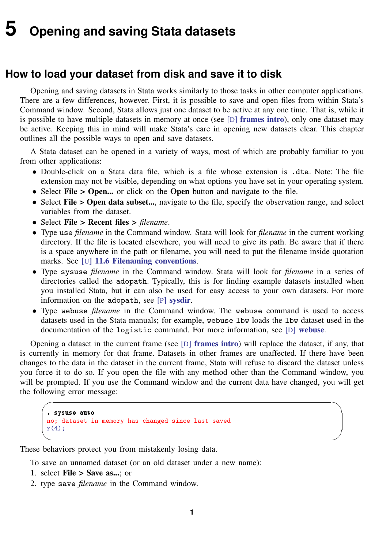## <span id="page-0-0"></span>**5 Opening and saving Stata datasets**

## **How to load your dataset from disk and save it to disk**

Opening and saving datasets in Stata works similarly to those tasks in other computer applications. There are a few differences, however. First, it is possible to save and open files from within Stata's Command window. Second, Stata allows just one dataset to be active at any one time. That is, while it is possible to have multiple datasets in memory at once (see  $[D]$  [frames intro](https://www.stata.com/manuals/dframesintro.pdf#dframesintro)), only one dataset may be active. Keeping this in mind will make Stata's care in opening new datasets clear. This chapter outlines all the possible ways to open and save datasets.

A Stata dataset can be opened in a variety of ways, most of which are probably familiar to you from other applications:

- Double-click on a Stata data file, which is a file whose extension is .dta. Note: The file extension may not be visible, depending on what options you have set in your operating system.
- Select File > Open... or click on the Open button and navigate to the file.
- Select File > Open data subset..., navigate to the file, specify the observation range, and select variables from the dataset.
- Select File > Recent files > *filename*.
- Type use *filename* in the Command window. Stata will look for *filename* in the current working directory. If the file is located elsewhere, you will need to give its path. Be aware that if there is a space anywhere in the path or filename, you will need to put the filename inside quotation marks. See [U[\] 11.6 Filenaming conventions](https://www.stata.com/manuals/u11.pdf#u11.6Filenamingconventions).
- Type sysuse *filename* in the Command window. Stata will look for *filename* in a series of directories called the adopath. Typically, this is for finding example datasets installed when you installed Stata, but it can also be used for easy access to your own datasets. For more information on the adopath, see [P] [sysdir](https://www.stata.com/manuals/psysdir.pdf#psysdir).
- Type webuse *filename* in the Command window. The webuse command is used to access datasets used in the Stata manuals; for example, webuse lbw loads the lbw dataset used in the documentation of the logistic command. For more information, see [D] [webuse](https://www.stata.com/manuals/dwebuse.pdf#dwebuse).

Opening a dataset in the current frame (see  $[D]$  [frames intro](https://www.stata.com/manuals/dframesintro.pdf#dframesintro)) will replace the dataset, if any, that is currently in memory for that frame. Datasets in other frames are unaffected. If there have been changes to the data in the dataset in the current frame, Stata will refuse to discard the dataset unless you force it to do so. If you open the file with any method other than the Command window, you will be prompted. If you use the Command window and the current data have changed, you will get the following error message:

 $\sqrt{2}$ 

```
. sysuse auto
no; dataset in memory has changed since last saved r(4):
r(4);
```
These behaviors protect you from mistakenly losing data.

To save an unnamed dataset (or an old dataset under a new name):

- 1. select File > Save as...; or
- 2. type save *filename* in the Command window.